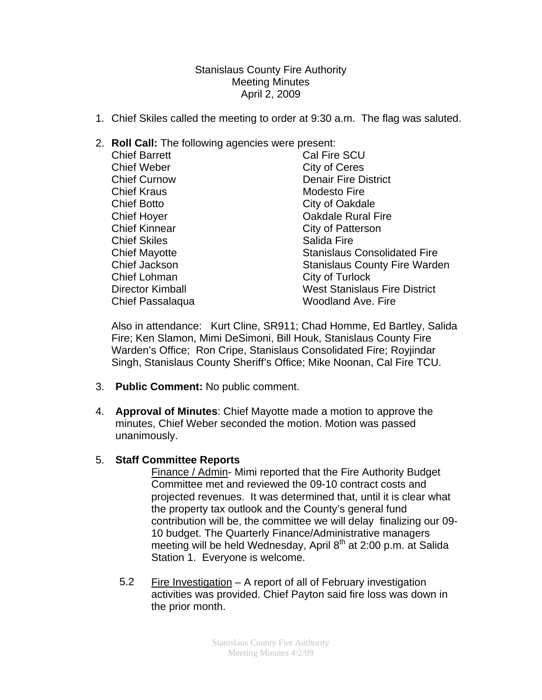Stanislaus County Fire Authority Meeting Minutes April 2, 2009

- 1. Chief Skiles called the meeting to order at 9:30 a.m. The flag was saluted.
- 2. **Roll Call:** The following agencies were present:

| <b>Chief Barrett</b>    | Cal Fire SCU                         |
|-------------------------|--------------------------------------|
| <b>Chief Weber</b>      | <b>City of Ceres</b>                 |
| <b>Chief Curnow</b>     | <b>Denair Fire District</b>          |
| <b>Chief Kraus</b>      | <b>Modesto Fire</b>                  |
| <b>Chief Botto</b>      | City of Oakdale                      |
| <b>Chief Hoyer</b>      | <b>Oakdale Rural Fire</b>            |
| <b>Chief Kinnear</b>    | City of Patterson                    |
| <b>Chief Skiles</b>     | Salida Fire                          |
| <b>Chief Mayotte</b>    | <b>Stanislaus Consolidated Fire</b>  |
| Chief Jackson           | <b>Stanislaus County Fire Warden</b> |
| <b>Chief Lohman</b>     | City of Turlock                      |
| <b>Director Kimball</b> | <b>West Stanislaus Fire District</b> |
| Chief Passalaqua        | <b>Woodland Ave. Fire</b>            |

Also in attendance: Kurt Cline, SR911; Chad Homme, Ed Bartley, Salida Fire; Ken Slamon, Mimi DeSimoni, Bill Houk, Stanislaus County Fire Warden's Office; Ron Cripe, Stanislaus Consolidated Fire; Royjindar Singh, Stanislaus County Sheriff's Office; Mike Noonan, Cal Fire TCU.

- 3. **Public Comment:** No public comment.
- 4. **Approval of Minutes**: Chief Mayotte made a motion to approve the minutes, Chief Weber seconded the motion. Motion was passed unanimously.

## 5. **Staff Committee Reports**

Finance / Admin- Mimi reported that the Fire Authority Budget Committee met and reviewed the 09-10 contract costs and projected revenues. It was determined that, until it is clear what the property tax outlook and the County's general fund contribution will be, the committee we will delay finalizing our 09- 10 budget. The Quarterly Finance/Administrative managers meeting will be held Wednesday, April  $8<sup>th</sup>$  at 2:00 p.m. at Salida Station 1. Everyone is welcome.

5.2 Fire Investigation – A report of all of February investigation activities was provided. Chief Payton said fire loss was down in the prior month.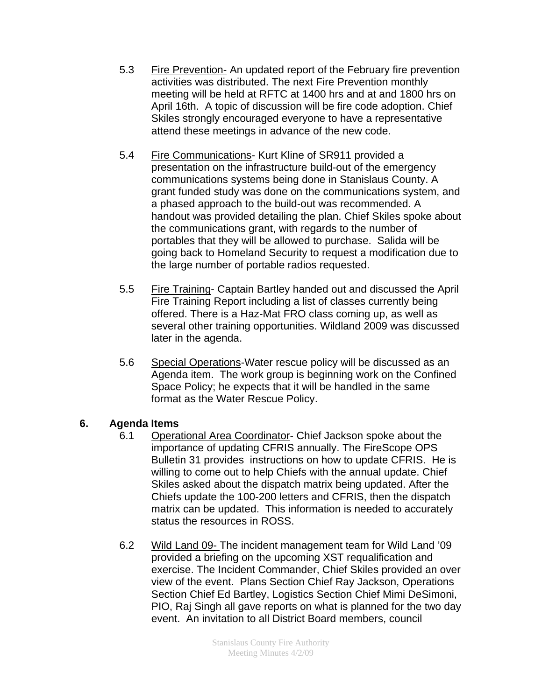- 5.3 Fire Prevention- An updated report of the February fire prevention activities was distributed. The next Fire Prevention monthly meeting will be held at RFTC at 1400 hrs and at and 1800 hrs on April 16th. A topic of discussion will be fire code adoption. Chief Skiles strongly encouraged everyone to have a representative attend these meetings in advance of the new code.
- 5.4 Fire Communications- Kurt Kline of SR911 provided a presentation on the infrastructure build-out of the emergency communications systems being done in Stanislaus County. A grant funded study was done on the communications system, and a phased approach to the build-out was recommended. A handout was provided detailing the plan. Chief Skiles spoke about the communications grant, with regards to the number of portables that they will be allowed to purchase. Salida will be going back to Homeland Security to request a modification due to the large number of portable radios requested.
- 5.5 Fire Training- Captain Bartley handed out and discussed the April Fire Training Report including a list of classes currently being offered. There is a Haz-Mat FRO class coming up, as well as several other training opportunities. Wildland 2009 was discussed later in the agenda.
- 5.6 Special Operations-Water rescue policy will be discussed as an Agenda item. The work group is beginning work on the Confined Space Policy; he expects that it will be handled in the same format as the Water Rescue Policy.

## **6. Agenda Items**

- 6.1 Operational Area Coordinator- Chief Jackson spoke about the importance of updating CFRIS annually. The FireScope OPS Bulletin 31 provides instructions on how to update CFRIS. He is willing to come out to help Chiefs with the annual update. Chief Skiles asked about the dispatch matrix being updated. After the Chiefs update the 100-200 letters and CFRIS, then the dispatch matrix can be updated. This information is needed to accurately status the resources in ROSS.
- 6.2 Wild Land 09- The incident management team for Wild Land '09 provided a briefing on the upcoming XST requalification and exercise. The Incident Commander, Chief Skiles provided an over view of the event. Plans Section Chief Ray Jackson, Operations Section Chief Ed Bartley, Logistics Section Chief Mimi DeSimoni, PIO, Raj Singh all gave reports on what is planned for the two day event. An invitation to all District Board members, council